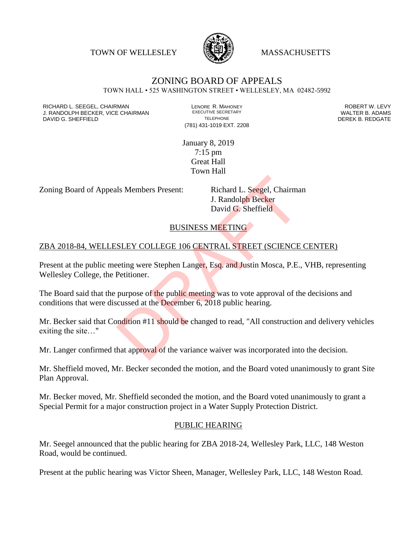TOWN OF WELLESLEY **WASSACHUSETTS** 



## ZONING BOARD OF APPEALS TOWN HALL • 525 WASHINGTON STREET • WELLESLEY, MA 02482-5992

RICHARD L. SEEGEL, CHAIRMAN LENORE R. MAHONEY ROBERT W. LEVY J. RANDOLPH BECKER, VICE CHAIRMAN EXECUTIVE SECRETARY THE SANDOLPH BECKER B. ADAMS<br>DEREK B. REDGATE TELEPHONE THE THE SAND THE SAND DEREK B. REDGATE

(781) 431-1019 EXT. 2208

DEREK B. REDGATE

January 8, 2019 7:15 pm Great Hall Town Hall

Zoning Board of Appeals Members Present: Richard L. Seegel, Chairman

J. Randolph Becker David G. Sheffield

## BUSINESS MEETING

## ZBA 2018-84, WELLESLEY COLLEGE 106 CENTRAL STREET (SCIENCE CENTER)

Present at the public meeting were Stephen Langer, Esq. and Justin Mosca, P.E., VHB, representing Wellesley College, the Petitioner.

The Board said that the purpose of the public meeting was to vote approval of the decisions and conditions that were discussed at the December 6, 2018 public hearing. Is Members Present: Richard L. Seegel, Chairma<br>
J. Randolph Becker<br>
David G. Sheffield<br>
BUSINESS MEETING<br>
SLEY COLLEGE 106 CENTRAL STREET (SCIENCE<br>
eeting were Stephen Langer, Esq. and Justin Mosca, P.E.,<br>
Petitioner.<br>
pur

Mr. Becker said that Condition #11 should be changed to read, "All construction and delivery vehicles exiting the site…"

Mr. Langer confirmed that approval of the variance waiver was incorporated into the decision.

Mr. Sheffield moved, Mr. Becker seconded the motion, and the Board voted unanimously to grant Site Plan Approval.

Mr. Becker moved, Mr. Sheffield seconded the motion, and the Board voted unanimously to grant a Special Permit for a major construction project in a Water Supply Protection District.

## PUBLIC HEARING

Mr. Seegel announced that the public hearing for ZBA 2018-24, Wellesley Park, LLC, 148 Weston Road, would be continued.

Present at the public hearing was Victor Sheen, Manager, Wellesley Park, LLC, 148 Weston Road.